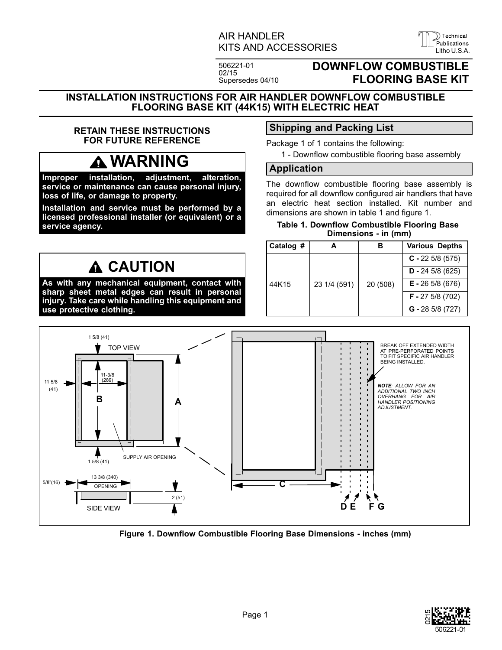### AIR HANDLER KITS AND ACCESSORIES

506221-01 02/15 Supersedes 04/10

## **DOWNFLOW COMBUSTIBLE FLOORING BASE KIT**

D) Technical

<span id="page-0-0"></span>**INSTALLATION INSTRUCTIONS FOR AIR HANDLER DOWNFLOW COMBUSTIBLE FLOORING BASE KIT (44K15) WITH ELECTRIC HEAT**

### **RETAIN THESE INSTRUCTIONS FOR FUTURE REFERENCE**

# **WARNING**

**Improper installation, adjustment, alteration, service or maintenance can cause personal injury, loss of life, or damage to property.**

**Installation and service must be performed by a licensed professional installer (or equivalent) or a service agency.**

## **CAUTION**

**As with any mechanical equipment, contact with sharp sheet metal edges can result in personal injury. Take care while handling this equipment and use protective clothing.**

## **Shipping and Packing List**

Package 1 of 1 contains the following:

1 - Downflow combustible flooring base assembly

#### **Application**

The downflow combustible flooring base assembly is required for all downflow configured air handlers that have an electric heat section installed. Kit number and dimensions are shown in table 1 and figure 1.

**Table 1. Downflow Combustible Flooring Base Dimensions - in (mm)**

| Catalog # |              | в        | <b>Various Depths</b> |
|-----------|--------------|----------|-----------------------|
| 44K15     | 23 1/4 (591) | 20 (508) | $C - 225/8(575)$      |
|           |              |          | $D - 245/8(625)$      |
|           |              |          | $E - 265/8(676)$      |
|           |              |          | $F - 275/8(702)$      |
|           |              |          | $G - 285/8(727)$      |



**Figure 1. Downflow Combustible Flooring Base Dimensions - inches (mm)**